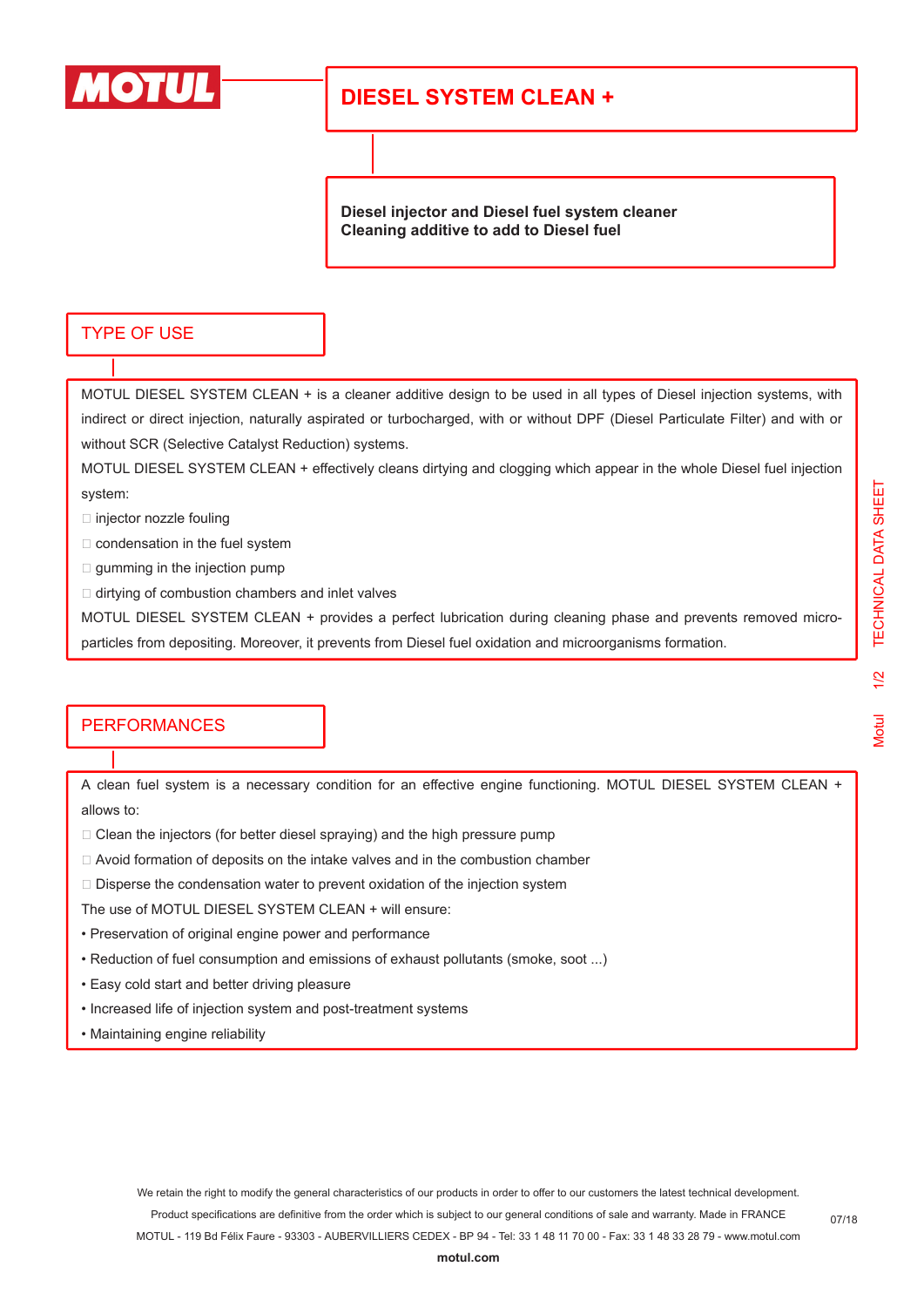

# **DIESEL SYSTEM CLEAN +**

**Diesel injector and Diesel fuel system cleaner Cleaning additive to add to Diesel fuel**

#### TYPE OF USE

MOTUL DIESEL SYSTEM CLEAN + is a cleaner additive design to be used in all types of Diesel injection systems, with indirect or direct injection, naturally aspirated or turbocharged, with or without DPF (Diesel Particulate Filter) and with or without SCR (Selective Catalyst Reduction) systems.

MOTUL DIESEL SYSTEM CLEAN + effectively cleans dirtying and clogging which appear in the whole Diesel fuel injection system:

 $\square$  injector nozzle fouling

 $\Box$  condensation in the fuel system

 $\Box$  gumming in the injection pump

 $\Box$  dirtying of combustion chambers and inlet valves

MOTUL DIESEL SYSTEM CLEAN + provides a perfect lubrication during cleaning phase and prevents removed microparticles from depositing. Moreover, it prevents from Diesel fuel oxidation and microorganisms formation.

## **PERFORMANCES**

A clean fuel system is a necessary condition for an effective engine functioning. MOTUL DIESEL SYSTEM CLEAN + allows to:

- $\Box$  Clean the injectors (for better diesel spraying) and the high pressure pump
- Avoid formation of deposits on the intake valves and in the combustion chamber
- $\Box$  Disperse the condensation water to prevent oxidation of the injection system

The use of MOTUL DIESEL SYSTEM CLEAN + will ensure:

- Preservation of original engine power and performance
- Reduction of fuel consumption and emissions of exhaust pollutants (smoke, soot ...)
- Easy cold start and better driving pleasure
- Increased life of injection system and post-treatment systems
- Maintaining engine reliability

We retain the right to modify the general characteristics of our products in order to offer to our customers the latest technical development. Product specifications are definitive from the order which is subject to our general conditions of sale and warranty. Made in FRANCE MOTUL - 119 Bd Félix Faure - 93303 - AUBERVILLIERS CEDEX - BP 94 - Tel: 33 1 48 11 70 00 - Fax: 33 1 48 33 28 79 - www.motul.com